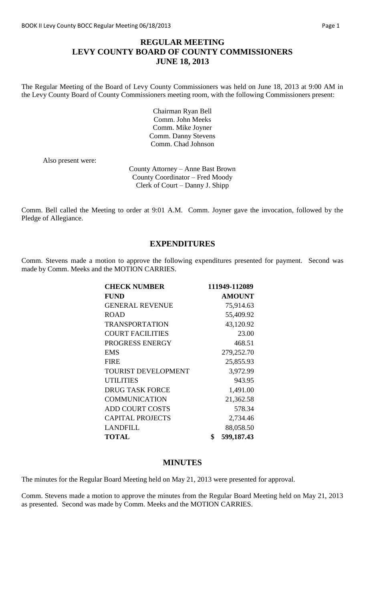### **REGULAR MEETING LEVY COUNTY BOARD OF COUNTY COMMISSIONERS JUNE 18, 2013**

The Regular Meeting of the Board of Levy County Commissioners was held on June 18, 2013 at 9:00 AM in the Levy County Board of County Commissioners meeting room, with the following Commissioners present:

> Chairman Ryan Bell Comm. John Meeks Comm. Mike Joyner Comm. Danny Stevens Comm. Chad Johnson

Also present were:

County Attorney – Anne Bast Brown County Coordinator – Fred Moody Clerk of Court – Danny J. Shipp

Comm. Bell called the Meeting to order at 9:01 A.M. Comm. Joyner gave the invocation, followed by the Pledge of Allegiance.

#### **EXPENDITURES**

Comm. Stevens made a motion to approve the following expenditures presented for payment. Second was made by Comm. Meeks and the MOTION CARRIES.

| 111949-112089    |
|------------------|
| <b>AMOUNT</b>    |
| 75,914.63        |
| 55,409.92        |
| 43,120.92        |
| 23.00            |
| 468.51           |
| 279,252.70       |
| 25,855.93        |
| 3,972.99         |
| 943.95           |
| 1,491.00         |
| 21,362.58        |
| 578.34           |
| 2,734.46         |
| 88,058.50        |
| \$<br>599,187.43 |
|                  |

#### **MINUTES**

The minutes for the Regular Board Meeting held on May 21, 2013 were presented for approval.

Comm. Stevens made a motion to approve the minutes from the Regular Board Meeting held on May 21, 2013 as presented. Second was made by Comm. Meeks and the MOTION CARRIES.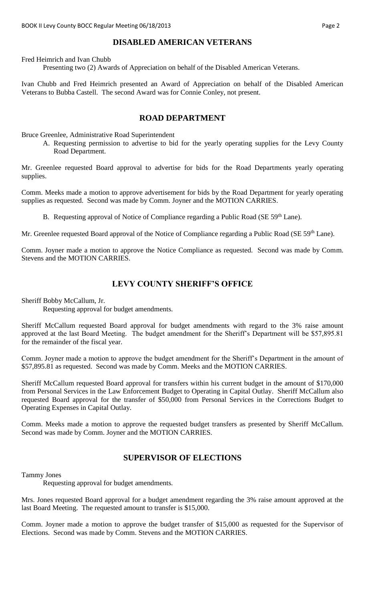### **DISABLED AMERICAN VETERANS**

Fred Heimrich and Ivan Chubb

Presenting two (2) Awards of Appreciation on behalf of the Disabled American Veterans.

Ivan Chubb and Fred Heimrich presented an Award of Appreciation on behalf of the Disabled American Veterans to Bubba Castell. The second Award was for Connie Conley, not present.

#### **ROAD DEPARTMENT**

Bruce Greenlee, Administrative Road Superintendent

A. Requesting permission to advertise to bid for the yearly operating supplies for the Levy County Road Department.

Mr. Greenlee requested Board approval to advertise for bids for the Road Departments yearly operating supplies.

Comm. Meeks made a motion to approve advertisement for bids by the Road Department for yearly operating supplies as requested. Second was made by Comm. Joyner and the MOTION CARRIES.

B. Requesting approval of Notice of Compliance regarding a Public Road (SE 59<sup>th</sup> Lane).

Mr. Greenlee requested Board approval of the Notice of Compliance regarding a Public Road (SE 59<sup>th</sup> Lane).

Comm. Joyner made a motion to approve the Notice Compliance as requested. Second was made by Comm. Stevens and the MOTION CARRIES.

#### **LEVY COUNTY SHERIFF'S OFFICE**

Sheriff Bobby McCallum, Jr.

Requesting approval for budget amendments.

Sheriff McCallum requested Board approval for budget amendments with regard to the 3% raise amount approved at the last Board Meeting. The budget amendment for the Sheriff's Department will be \$57,895.81 for the remainder of the fiscal year.

Comm. Joyner made a motion to approve the budget amendment for the Sheriff's Department in the amount of \$57,895.81 as requested. Second was made by Comm. Meeks and the MOTION CARRIES.

Sheriff McCallum requested Board approval for transfers within his current budget in the amount of \$170,000 from Personal Services in the Law Enforcement Budget to Operating in Capital Outlay. Sheriff McCallum also requested Board approval for the transfer of \$50,000 from Personal Services in the Corrections Budget to Operating Expenses in Capital Outlay.

Comm. Meeks made a motion to approve the requested budget transfers as presented by Sheriff McCallum. Second was made by Comm. Joyner and the MOTION CARRIES.

#### **SUPERVISOR OF ELECTIONS**

Tammy Jones

Requesting approval for budget amendments.

Mrs. Jones requested Board approval for a budget amendment regarding the 3% raise amount approved at the last Board Meeting. The requested amount to transfer is \$15,000.

Comm. Joyner made a motion to approve the budget transfer of \$15,000 as requested for the Supervisor of Elections. Second was made by Comm. Stevens and the MOTION CARRIES.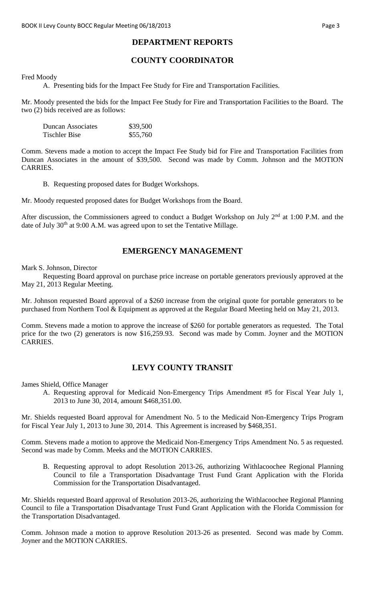### **DEPARTMENT REPORTS**

# **COUNTY COORDINATOR**

Fred Moody

A. Presenting bids for the Impact Fee Study for Fire and Transportation Facilities.

Mr. Moody presented the bids for the Impact Fee Study for Fire and Transportation Facilities to the Board. The two (2) bids received are as follows:

| <b>Duncan Associates</b> | \$39,500 |
|--------------------------|----------|
| Tischler Bise            | \$55,760 |

Comm. Stevens made a motion to accept the Impact Fee Study bid for Fire and Transportation Facilities from Duncan Associates in the amount of \$39,500. Second was made by Comm. Johnson and the MOTION CARRIES.

B. Requesting proposed dates for Budget Workshops.

Mr. Moody requested proposed dates for Budget Workshops from the Board.

After discussion, the Commissioners agreed to conduct a Budget Workshop on July  $2<sup>nd</sup>$  at 1:00 P.M. and the date of July  $30<sup>th</sup>$  at 9:00 A.M. was agreed upon to set the Tentative Millage.

#### **EMERGENCY MANAGEMENT**

Mark S. Johnson, Director

Requesting Board approval on purchase price increase on portable generators previously approved at the May 21, 2013 Regular Meeting.

Mr. Johnson requested Board approval of a \$260 increase from the original quote for portable generators to be purchased from Northern Tool & Equipment as approved at the Regular Board Meeting held on May 21, 2013.

Comm. Stevens made a motion to approve the increase of \$260 for portable generators as requested. The Total price for the two (2) generators is now \$16,259.93. Second was made by Comm. Joyner and the MOTION CARRIES.

#### **LEVY COUNTY TRANSIT**

James Shield, Office Manager

A. Requesting approval for Medicaid Non-Emergency Trips Amendment #5 for Fiscal Year July 1, 2013 to June 30, 2014, amount \$468,351.00.

Mr. Shields requested Board approval for Amendment No. 5 to the Medicaid Non-Emergency Trips Program for Fiscal Year July 1, 2013 to June 30, 2014. This Agreement is increased by \$468,351.

Comm. Stevens made a motion to approve the Medicaid Non-Emergency Trips Amendment No. 5 as requested. Second was made by Comm. Meeks and the MOTION CARRIES.

B. Requesting approval to adopt Resolution 2013-26, authorizing Withlacoochee Regional Planning Council to file a Transportation Disadvantage Trust Fund Grant Application with the Florida Commission for the Transportation Disadvantaged.

Mr. Shields requested Board approval of Resolution 2013-26, authorizing the Withlacoochee Regional Planning Council to file a Transportation Disadvantage Trust Fund Grant Application with the Florida Commission for the Transportation Disadvantaged.

Comm. Johnson made a motion to approve Resolution 2013-26 as presented. Second was made by Comm. Joyner and the MOTION CARRIES.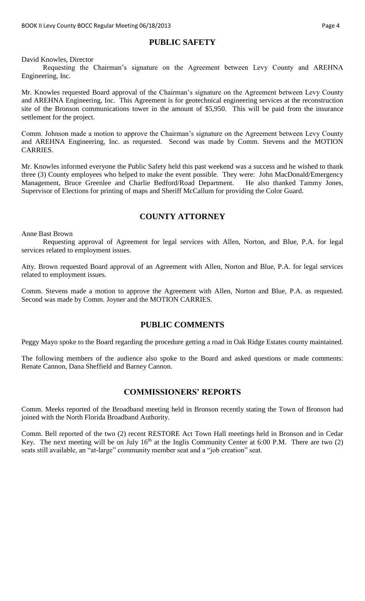#### **PUBLIC SAFETY**

David Knowles, Director

Requesting the Chairman's signature on the Agreement between Levy County and AREHNA Engineering, Inc.

Mr. Knowles requested Board approval of the Chairman's signature on the Agreement between Levy County and AREHNA Engineering, Inc. This Agreement is for geotechnical engineering services at the reconstruction site of the Bronson communications tower in the amount of \$5,950. This will be paid from the insurance settlement for the project.

Comm. Johnson made a motion to approve the Chairman's signature on the Agreement between Levy County and AREHNA Engineering, Inc. as requested. Second was made by Comm. Stevens and the MOTION CARRIES.

Mr. Knowles informed everyone the Public Safety held this past weekend was a success and he wished to thank three (3) County employees who helped to make the event possible. They were: John MacDonald/Emergency Management, Bruce Greenlee and Charlie Bedford/Road Department. He also thanked Tammy Jones, Supervisor of Elections for printing of maps and Sheriff McCallum for providing the Color Guard.

# **COUNTY ATTORNEY**

Anne Bast Brown

Requesting approval of Agreement for legal services with Allen, Norton, and Blue, P.A. for legal services related to employment issues.

Atty. Brown requested Board approval of an Agreement with Allen, Norton and Blue, P.A. for legal services related to employment issues.

Comm. Stevens made a motion to approve the Agreement with Allen, Norton and Blue, P.A. as requested. Second was made by Comm. Joyner and the MOTION CARRIES.

#### **PUBLIC COMMENTS**

Peggy Mayo spoke to the Board regarding the procedure getting a road in Oak Ridge Estates county maintained.

The following members of the audience also spoke to the Board and asked questions or made comments: Renate Cannon, Dana Sheffield and Barney Cannon.

#### **COMMISSIONERS' REPORTS**

Comm. Meeks reported of the Broadband meeting held in Bronson recently stating the Town of Bronson had joined with the North Florida Broadband Authority.

Comm. Bell reported of the two (2) recent RESTORE Act Town Hall meetings held in Bronson and in Cedar Key. The next meeting will be on July  $16<sup>th</sup>$  at the Inglis Community Center at 6:00 P.M. There are two (2) seats still available, an "at-large" community member seat and a "job creation" seat.